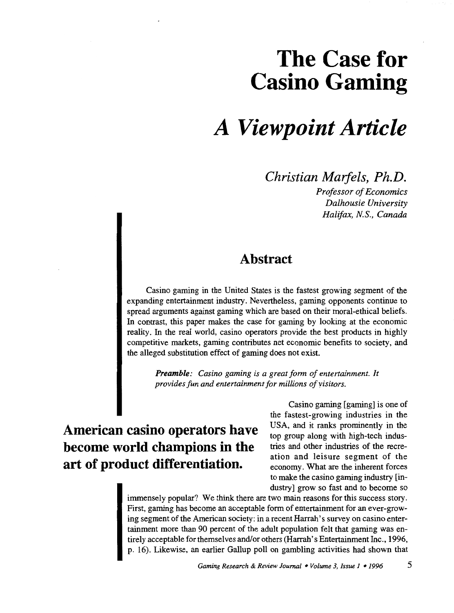# **The Case for Casino Gaming**

# *A Viewpoint Article*

*Christian Maifels, Ph.D.* 

*Professor of Economics Dalhousie University Halifax, N.S., Canada* 

### **Abstract**

Casino gaming in the United States is the fastest growing segment of the expanding entertainment industry. Nevertheless, gaming opponents continue to spread arguments against gaming which are based on their moral-ethical beliefs. In contrast, this paper makes the case for gaming by looking at the economic reality. In the real world, casino operators provide the best products in highly competitive markets, gaming contributes net economic benefits to society, and the alleged substitution effect of gaming does not exist.

*Preamble: Casino gaming is a great form of entertainment. It provides fun and entertainment for millions of visitors.* 

## **American casino operators have become world champions in the art of product differentiation.**

Casino gaming [gaming] is one of the fastest-growing industries in the USA, and it ranks prominently in the top group along with high-tech industries and other industries of the recreation and leisure segment of the economy. What are the inherent forces to make the casino gaming industry [industry] grow so fast and to become so

immensely popular? We think there are two main reasons for this success story. First, gaming has become an acceptable form of entertainment for an ever-growing segment of the American society: in a recent Harrah's survey on casino entertainment more than 90 percent of the adult population felt that gaming was entirely acceptable for themselves and/or others (Harrah's Entertainment Inc., 1996, p. 16). Likewise, an earlier Gallup poll on gambling activities had shown that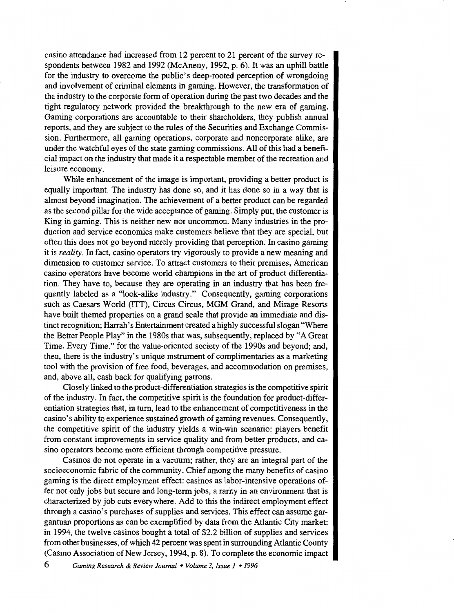casino attendance had increased from 12 percent to 21 percent of the survey respondents between 1982 and 1992 (McAneny, 1992, p. 6). It was an uphill battle for the industry to overcome the public's deep-rooted perception of wrongdoing and involvement of criminal elements in gaming. However, the transformation of the industry to the corporate form of operation during the past two decades and the tight regulatory network provided the breakthrough to the new era of gaming. Gaming corporations are accountable to their shareholders, they publish annual reports, and they are subject to the rules of the Securities and Exchange Commission. Furthermore, all gaming operations, corporate and noncorporate alike, are under the watchful eyes of the state gaming commissions. All of this had a beneficial impact on the industry that made it a respectable member of the recreation and leisure economy.

While enhancement of the image is important, providing a better product is equally important. The industry has done so, and it has done so in a way that is almost beyond imagination. The achievement of a better product can be regarded as the second pillar for the wide acceptance of gaming. Simply put, the customer is King in gaming. This is neither new nor uncommon. Many industries in the production and service economies make customers believe that they are special, but often this does not go beyond merely providing that perception. In casino gaming it is *reality.* In fact, casino operators try vigorously to provide a new meaning and dimension to customer service. To attract customers to their premises, American casino operators have become world champions in the art of product differentiation. They have to, because they are operating in an industry that has been frequently labeled as a "look-alike industry." Consequently, gaming corporations such as Caesars World (ITT), Circus Circus, MGM Grand, and Mirage Resorts have built themed properties on a grand scale that provide an immediate and distinct recognition; Harrah's Entertainment created a highly successful slogan "Where the Better People Play" in the 1980s that was, subsequently, replaced by "A Great Time. Every Time." for the value-oriented society of the 1990s and beyond; and, then, there is the industry's unique instrument of complimentaries as a marketing tool with the provision of free food, beverages, and accommodation on premises, and, above all, cash back for qualifying patrons.

Closely linked to the product-differentiation strategies is the competitive spirit of the industry. In fact, the competitive spirit is the foundation for product-differentiation strategies that, in tum, lead to the enhancement of competitiveness in the casino's ability to experience sustained growth of gaming revenues. Consequently, the competitive spirit of the industry yields a win-win scenario: players benefit from constant improvements in service quality and from better products, and casino operators become more efficient through competitive pressure.

Casinos do not operate in a vacuum; rather, they are an integral part of the socioeconomic fabric of the community. Chief among the many benefits of casino gaming is the direct employment effect: casinos as labor-intensive operations offer not only jobs but secure and long-term jobs, a rarity in an environment that is characterized by job cuts everywhere. Add to this the indirect employment effect through a casino's purchases of supplies and services. This effect can assume gargantuan proportions as can be exemplified by data from the Atlantic City market: in 1994, the twelve casinos bought a total of \$2.2 billion of supplies and services from other businesses, of which 42 percent was spent in surrounding Atlantic County (Casino Association of New Jersey, 1994, p. 8). To complete the economic impact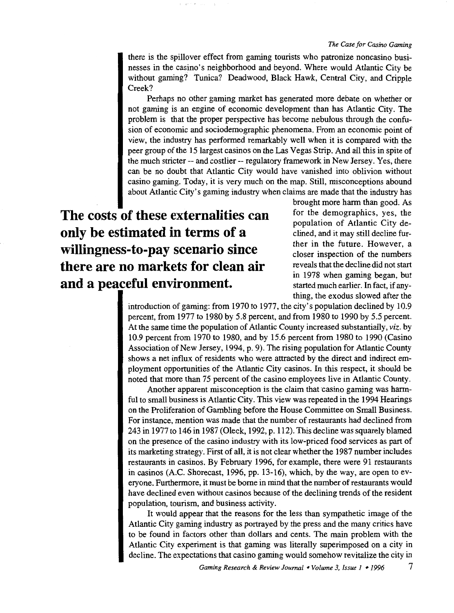#### *The Case for Casino Gaming*

there is the spillover effect from gaming tourists who patronize noncasino businesses in the casino's neighborhood and beyond. Where would Atlantic City be without gaming? Tunica? Deadwood, Black Hawk, Central City, and Cripple Creek?

Perhaps no other gaming market has generated more debate on whether or not gaming is an engine of economic development than has Atlantic City. The problem is that the proper perspective has become nebulous through the confusion of economic and sociodemographic phenomena. From an economic point of view, the industry has performed remarkably well when it is compared with the peer group of the 15largest casinos on the Las Vegas Strip. And all this in spite of the much stricter-- and costlier-- regulatory framework in New Jersey. Yes, there can be no doubt that Atlantic City would have vanished into oblivion without casino gaming. Today, it is very much on the map. Still, misconceptions abound about Atlantic City's gaming industry when claims are made that the industry has

**The costs of these externalities can only be estimated in terms of a willingness-to-pay scenario since there are no markets for clean air and a peaceful environment.** Started much earlier. In fact, if any-

brought more harm than good. As for the demographics, yes, the population of Atlantic City declined, and it may still decline further in the future. However, a closer inspection of the numbers reveals that the decline did not start in 1978 when gaming began, but thing, the exodus slowed after the

introduction of gaming: from 1970 to 1977, the city's population declined by 10.9 percent, from 1977 to 1980 by 5.8 percent, and from 1980 to 1990 by 5.5 percent. At the same time the population of Atlantic County increased substantially, *viz.* by 10.9 percent from 1970 to 1980, and by 15.6 percent from 1980 to 1990 (Casino Association of New Jersey, 1994, p. 9). The rising population for Atlantic County shows a net influx of residents who were attracted by the direct and indirect employment opportunities of the Atlantic City casinos. In this respect, it should be noted that more than 75 percent of the casino employees live in Atlantic County.

Another apparent misconception is the claim that casino gaming was harmful to small business is Atlantic City. This view was repeated in the 1994 Hearings on the Proliferation of Gambling before the House Committee on Small Business. For instance, mention was made that the number of restaurants had declined from 243 in 1977 to 146 in 1987 (Oleck, 1992, p. 112). This decline was squarely blamed on the presence of the casino industry with its low-priced food services as part of its marketing strategy. First of all, it is not clear whether the 1987 number includes restaurants in casinos. By February 1996, for example, there were 91 restaurants in casinos (A.C. Shorecast, 1996, pp. 13-16), which, by the way, are open to everyone. Furthermore, it must be borne in mind that the number of restaurants would have declined even without casinos because of the declining trends of the resident population, tourism, and business activity.

It would appear that the reasons for the less than sympathetic image of the Atlantic City gaming industry as portrayed by the press and the many critics have to be found in factors other than dollars and cents. The main problem with the Atlantic City experiment is that gaming was literally superimposed on a city in decline. The expectations that casino gaming would somehow revitalize the city in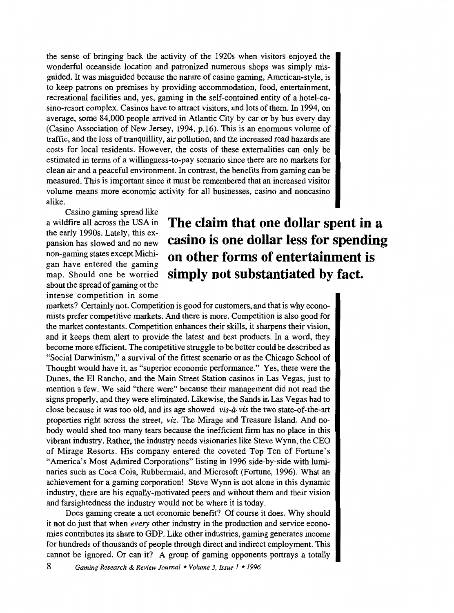the sense of bringing back the activity of the 1920s when visitors enjoyed the wonderful oceanside location and patronized numerous shops was simply misguided. It was misguided because the nature of casino gaming, American-style, is to keep patrons on premises by providing accommodation, food, entertainment, recreational facilities and, yes, gaming in the self-contained entity of a hotel-casino-resort complex. Casinos have to attract visitors, and lots of them. In 1994, on average, some 84,000 people arrived in Atlantic City by car or by bus every day (Casino Association of New Jersey, 1994, p.16). This is an enormous volume of traffic, and the loss of tranquillity, air pollution, and the increased road hazards are costs for local residents. However, the costs of these externalities can only be estimated in terms of a willingness-to-pay scenario since there are no markets for clean air and a peaceful environment. In contrast, the benefits from gaming can be measured. This is important since it must be remembered that an increased visitor volume means more economic activity for all businesses, casino and noncasino alike.

Casino gaming spread like a wildfire all across the USA in the early 1990s. Lately, this expansion has slowed and no new non-gaming states except Michigan have entered the gaming map. Should one be worried about the spread of gaming or the intense competition in some

## **The claim that one dollar spent in a casino is one dollar less for spending on other forms of entertainment is simply not substantiated by fact.**

markets? Certainly not. Competition is good for customers, and that is why economists prefer competitive markets. And there is more. Competition is also good for the market contestants. Competition enhances their skills, it sharpens their vision, and it keeps them alert to provide the latest and best products. In a word, they become more efficient. The competitive struggle to be better could be described as "Social Darwinism," a survival of the fittest scenario or as the Chicago School of Thought would have it, as "superior economic performance." Yes, there were the Dunes, the El Rancho, and the Main Street Station casinos in Las Vegas, just to mention a few. We said "there were" because their management did not read the signs properly, and they were eliminated. Likewise, the Sands in Las Vegas had to close because it was too old, and its age showed *vis-a-vis* the two state-of-the-art properties right across the street, *viz.* The Mirage and Treasure Island. And nobody would shed too many tears because the inefficient firm has no place in this vibrant industry. Rather, the industry needs visionaries like Steve Wynn, the CEO of Mirage Resorts. His company entered the coveted Top Ten of Fortune's "America's Most Admired Corporations" listing in 1996 side-by-side with luminaries such as Coca Cola, Rubbermaid, and Microsoft (Fortune, 1996). What an achievement for a gaming corporation! Steve Wynn is not alone in this dynamic industry, there are his equally-motivated peers and without them and their vision and farsightedness the industry would not be where it is today.

Does gaming create a net economic benefit? Of course it does. Why should it not do just that when *every* other industry in the production and service economies contributes its share to GDP. Like other industries, gaming generates income for hundreds of thousands of people through direct and indirect employment. This cannot be ignored. Or can it? A group of gaming opponents portrays a totally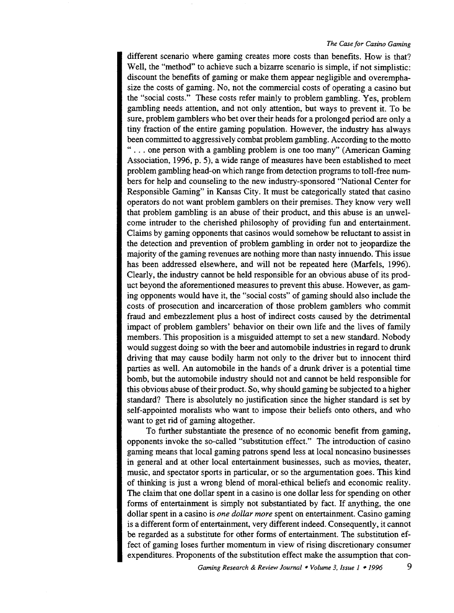different scenario where gaming creates more costs than benefits. How is that? Well, the "method" to achieve such a bizarre scenario is simple, if not simplistic: discount the benefits of gaming or make them appear negligible and overemphasize the costs of gaming. No, not the commercial costs of operating a casino but the "social costs." These costs refer mainly to problem gambling. Yes, problem gambling needs attention, and not only attention, but ways to prevent it. To be sure, problem gamblers who bet over their heads for a prolonged period are only a tiny fraction of the entire gaming population. However, the industry has always been committed to aggressively combat problem gambling. According to the motto " ... one person with a gambling problem is one too many" (American Gaming Association, 1996, p. 5), a wide range of measures have been established to meet problem gambling head-on which range from detection programs to toll-free numbers for help and counseling to the new industry-sponsored "National Center for Responsible Gaming" in Kansas City. It must be categorically stated that casino operators do not want problem gamblers on their premises. They know very well that problem gambling is an abuse of their product, and this abuse is an unwelcome intruder to the cherished philosophy of providing fun and entertainment. Claims by gaming opponents that casinos would somehow be reluctant to assist in the detection and prevention of problem gambling in order not to jeopardize the majority of the gaming revenues are nothing more than nasty innuendo. This issue has been addressed elsewhere, and will not be repeated here (Marfels, 1996). Clearly, the industry cannot be held responsible for an obvious abuse of its product beyond the aforementioned measures to prevent this abuse. However, as gaming opponents would have it, the "social costs" of gaming should also include the costs of prosecution and incarceration of those problem gamblers who commit fraud and embezzlement plus a host of indirect costs caused by the detrimental impact of problem gamblers' behavior on their own life and the lives of family members. This proposition is a misguided attempt to set a new standard. Nobody would suggest doing so with the beer and automobile industries in regard to drunk driving that may cause bodily harm not only to the driver but to innocent third parties as well. An automobile in the hands of a drunk driver is a potential time bomb, but the automobile industry should not and cannot be held responsible for this obvious abuse of their product. So, why should gaming be subjected to a higher standard? There is absolutely no justification since the higher standard is set by self-appointed moralists who want to impose their beliefs onto others, and who want to get rid of gaming altogether.

To further substantiate the presence of no economic benefit from gaming, opponents invoke the so-called "substitution effect." The introduction of casino gaming means that local gaming patrons spend less at local noncasino businesses in general and at other local entertainment businesses, such as movies, theater, music, and spectator sports in particular, or so the argumentation goes. This kind of thinking is just a wrong blend of moral-ethical beliefs and economic reality. The claim that one dollar spent in a casino is one dollar less for spending on other forms of entertainment is simply not substantiated by fact. If anything, the one dollar spent in a casino is *one dollar more* spent on entertainment. Casino gaming is a different form of entertainment, very different indeed. Consequently, it cannot be regarded as a substitute for other forms of entertainment. The substitution effect of gaming loses further momentum in view of rising discretionary consumer expenditures. Proponents of the substitution effect make the assumption that con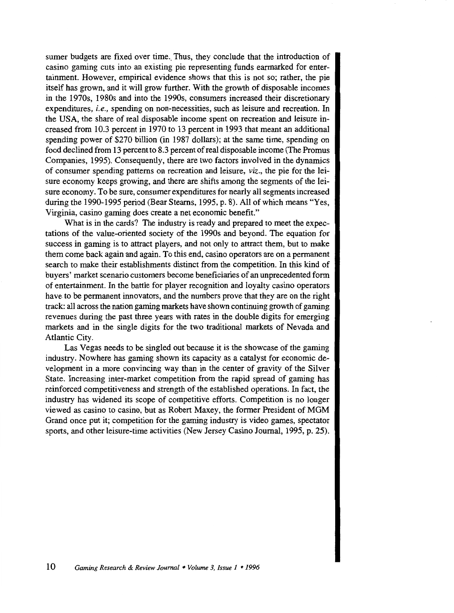sumer budgets are fixed over time. Thus, they conclude that the introduction of casino gaming cuts into an existing pie representing funds earmarked for entertainment. However, empirical evidence shows that this is not so; rather, the pie itself has grown, and it will grow further. With the growth of disposable incomes in the 1970s, 1980s and into the 1990s, consumers increased their discretionary expenditures, *i.e.,* spending on non-necessities, such as leisure and recreation. In the USA, the share of real disposable income spent on recreation and leisure increased from 10.3 percent in 1970 to 13 percent in 1993 that meant an additional spending power of \$270 billion (in 1987 dollars); at the same time, spending on food declined from 13 percent to 8.3 percent of real disposable income (The Promus Companies, 1995). Consequently, there are two factors involved in the dynamics of consumer spending patterns on recreation and leisure, *viz.,* the pie for the leisure economy keeps growing, and there are shifts among the segments of the leisure economy. To be sure, consumer expenditures for nearly all segments increased during the 1990-1995 period (Bear Steams, 1995, p. 8). All of which means "Yes, Virginia, casino gaming does create a net economic benefit."

What is in the cards? The industry is ready and prepared to meet the expectations of the value-oriented society of the 1990s and beyond. The equation for success in gaming is to attract players, and not only to attract them, but to make them come back again and again. To this end, casino operators are on a permanent search to make their establishments distinct from the competition. In this kind of buyers' market scenario customers become beneficiaries of an unprecedented form of entertainment. In the battle for player recognition and loyalty casino operators have to be permanent innovators, and the numbers prove that they are on the right track: all across the nation gaming markets have shown continuing growth of gaming revenues during the past three years with rates in the double digits for emerging markets and in the single digits for the two traditional markets of Nevada and Atlantic City.

Las Vegas needs to be singled out because it is the showcase of the gaming industry. Nowhere has gaming shown its capacity as a catalyst for economic development in a more convincing way than in the center of gravity of the Silver State. Increasing inter-market competition from the rapid spread of gaming has reinforced competitiveness and strength of the established operations. In fact, the industry has widened its scope of competitive efforts. Competition is no longer viewed as casino to casino, but as Robert Maxey, the former President of MGM Grand once put it; competition for the gaming industry is video games, spectator sports, and other leisure-time activities (New Jersey Casino Journal, 1995, p. 25).